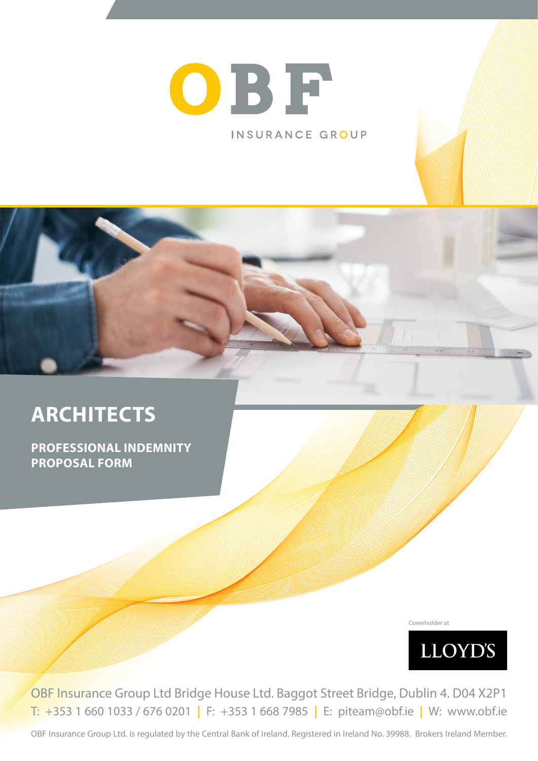



# **ARCHITECTS**

**PROFESSIONAL INDEMNITY PROPOSAL FORM**

Coverholder at



OBF Insurance Group Ltd Bridge House Ltd. Baggot Street Bridge, Dublin 4. D04 X2P1 T: +353 1 660 1033 / 676 0201 **|** F: +353 1 668 7985 **|** E: piteam@obf.ie **|** W: www.obf.ie

OBF Insurance Group Ltd. is regulated by the Central Bank of Ireland. Registered in Ireland No. 39988. Brokers Ireland Member.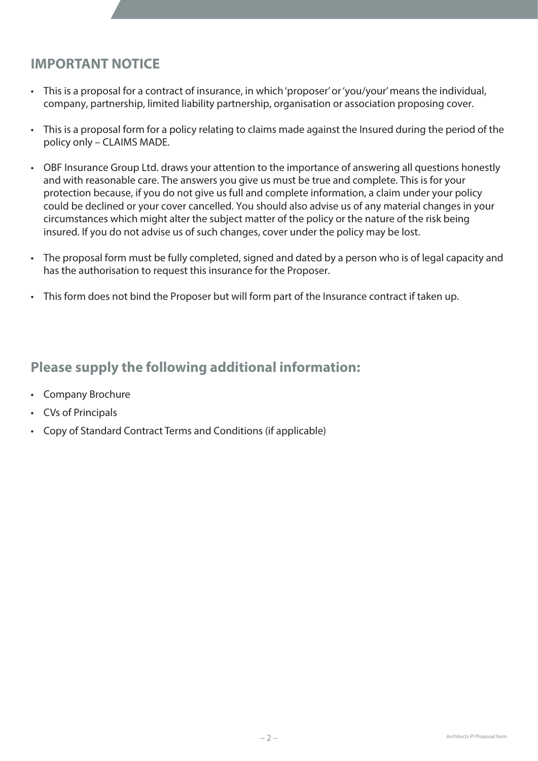# **IMPORTANT NOTICE**

- This is a proposal for a contract of insurance, in which 'proposer' or 'you/your' means the individual, company, partnership, limited liability partnership, organisation or association proposing cover.
- This is a proposal form for a policy relating to claims made against the Insured during the period of the policy only – CLAIMS MADE.
- OBF Insurance Group Ltd. draws your attention to the importance of answering all questions honestly and with reasonable care. The answers you give us must be true and complete. This is for your protection because, if you do not give us full and complete information, a claim under your policy could be declined or your cover cancelled. You should also advise us of any material changes in your circumstances which might alter the subject matter of the policy or the nature of the risk being insured. If you do not advise us of such changes, cover under the policy may be lost.
- The proposal form must be fully completed, signed and dated by a person who is of legal capacity and has the authorisation to request this insurance for the Proposer.
- This form does not bind the Proposer but will form part of the Insurance contract if taken up.

# **Please supply the following additional information:**

- Company Brochure
- CVs of Principals
- Copy of Standard Contract Terms and Conditions (if applicable)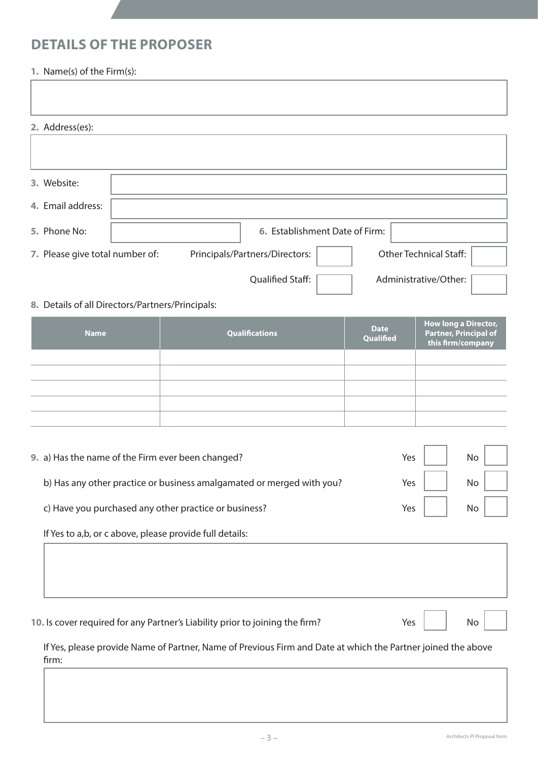# **DETAILS OF THE PROPOSER**

### **1.** Name(s) of the Firm(s):

| 2. Address(es):                                  |                                                                              |                                                                                                              |                          |     |                                                                           |    |  |
|--------------------------------------------------|------------------------------------------------------------------------------|--------------------------------------------------------------------------------------------------------------|--------------------------|-----|---------------------------------------------------------------------------|----|--|
|                                                  |                                                                              |                                                                                                              |                          |     |                                                                           |    |  |
| 3. Website:                                      |                                                                              |                                                                                                              |                          |     |                                                                           |    |  |
| 4. Email address:                                |                                                                              |                                                                                                              |                          |     |                                                                           |    |  |
| 5. Phone No:                                     |                                                                              | 6. Establishment Date of Firm:                                                                               |                          |     |                                                                           |    |  |
| 7. Please give total number of:                  |                                                                              | Principals/Partners/Directors:                                                                               |                          |     | <b>Other Technical Staff:</b>                                             |    |  |
|                                                  |                                                                              | <b>Qualified Staff:</b>                                                                                      |                          |     | Administrative/Other:                                                     |    |  |
| 8. Details of all Directors/Partners/Principals: |                                                                              |                                                                                                              |                          |     |                                                                           |    |  |
| <b>Name</b>                                      |                                                                              | <b>Qualifications</b>                                                                                        | <b>Date</b><br>Qualified |     | How long a Director,<br><b>Partner, Principal of</b><br>this firm/company |    |  |
|                                                  |                                                                              |                                                                                                              |                          |     |                                                                           |    |  |
|                                                  |                                                                              |                                                                                                              |                          |     |                                                                           |    |  |
|                                                  |                                                                              |                                                                                                              |                          |     |                                                                           |    |  |
|                                                  |                                                                              |                                                                                                              |                          |     |                                                                           |    |  |
|                                                  | 9. a) Has the name of the Firm ever been changed?                            |                                                                                                              |                          | Yes |                                                                           | No |  |
|                                                  |                                                                              | b) Has any other practice or business amalgamated or merged with you?                                        |                          | Yes |                                                                           | No |  |
|                                                  | c) Have you purchased any other practice or business?                        |                                                                                                              |                          | Yes |                                                                           | No |  |
|                                                  | If Yes to a,b, or c above, please provide full details:                      |                                                                                                              |                          |     |                                                                           |    |  |
|                                                  |                                                                              |                                                                                                              |                          |     |                                                                           |    |  |
|                                                  |                                                                              |                                                                                                              |                          |     |                                                                           |    |  |
|                                                  | 10. Is cover required for any Partner's Liability prior to joining the firm? |                                                                                                              |                          | Yes |                                                                           | No |  |
| firm:                                            |                                                                              | If Yes, please provide Name of Partner, Name of Previous Firm and Date at which the Partner joined the above |                          |     |                                                                           |    |  |
|                                                  |                                                                              |                                                                                                              |                          |     |                                                                           |    |  |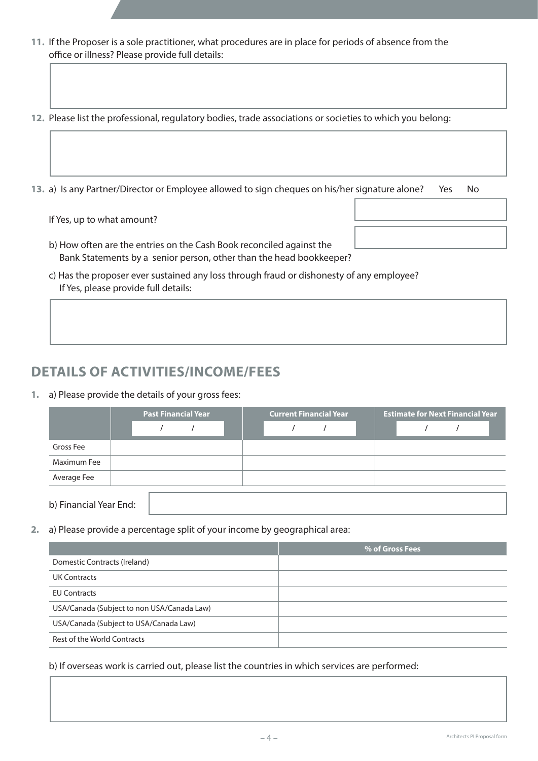- **11.** If the Proposer is a sole practitioner, what procedures are in place for periods of absence from the office or illness? Please provide full details:
- **12.** Please list the professional, regulatory bodies, trade associations or societies to which you belong:
- **13.** a) Is any Partner/Director or Employee allowed to sign cheques on his/her signature alone? Yes No

 If Yes, up to what amount? 

- b) How often are the entries on the Cash Book reconciled against the Bank Statements by a senior person, other than the head bookkeeper?
- c) Has the proposer ever sustained any loss through fraud or dishonesty of any employee? If Yes, please provide full details:

### **DETAILS OF ACTIVITIES/INCOME/FEES**

**1.** a) Please provide the details of your gross fees:

|                        | <b>Past Financial Year</b> |  |  | <b>Current Financial Year</b> |  |  | <b>Estimate for Next Financial Year</b> |  |  |  |  |  |  |  |
|------------------------|----------------------------|--|--|-------------------------------|--|--|-----------------------------------------|--|--|--|--|--|--|--|
|                        |                            |  |  |                               |  |  |                                         |  |  |  |  |  |  |  |
| Gross Fee              |                            |  |  |                               |  |  |                                         |  |  |  |  |  |  |  |
| Maximum Fee            |                            |  |  |                               |  |  |                                         |  |  |  |  |  |  |  |
| Average Fee            |                            |  |  |                               |  |  |                                         |  |  |  |  |  |  |  |
|                        |                            |  |  |                               |  |  |                                         |  |  |  |  |  |  |  |
| b) Financial Year End: |                            |  |  |                               |  |  |                                         |  |  |  |  |  |  |  |

**2.** a) Please provide a percentage split of your income by geographical area:

|                                            | % of Gross Fees |
|--------------------------------------------|-----------------|
| Domestic Contracts (Ireland)               |                 |
| <b>UK Contracts</b>                        |                 |
| <b>EU Contracts</b>                        |                 |
| USA/Canada (Subject to non USA/Canada Law) |                 |
| USA/Canada (Subject to USA/Canada Law)     |                 |
| Rest of the World Contracts                |                 |

 b) If overseas work is carried out, please list the countries in which services are performed: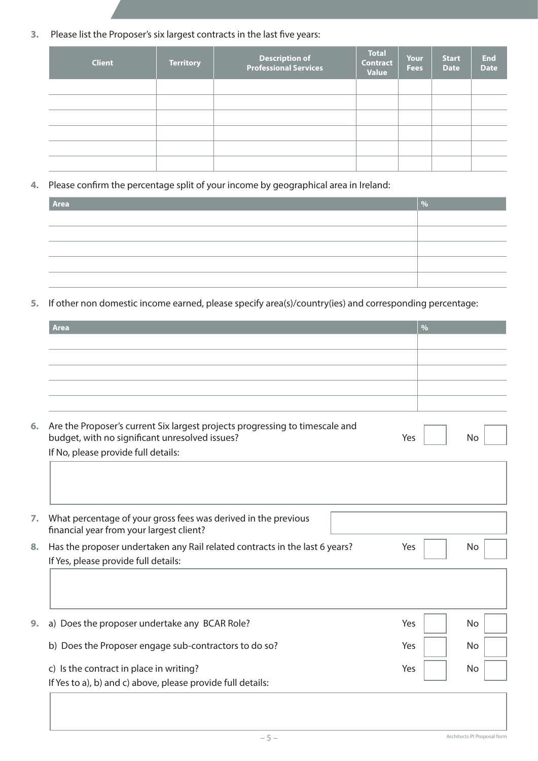**3.** Please list the Proposer's six largest contracts in the last five years:

| <b>Client</b> | <b>Territory</b> | Description of<br>Professional Services | <b>Total</b><br><b>Contract</b><br><b>Value</b> | Your<br><b>Fees</b> | <b>Start</b><br><b>Date</b> | <b>End</b><br><b>Date</b> |
|---------------|------------------|-----------------------------------------|-------------------------------------------------|---------------------|-----------------------------|---------------------------|
|               |                  |                                         |                                                 |                     |                             |                           |
|               |                  |                                         |                                                 |                     |                             |                           |
|               |                  |                                         |                                                 |                     |                             |                           |
|               |                  |                                         |                                                 |                     |                             |                           |
|               |                  |                                         |                                                 |                     |                             |                           |
|               |                  |                                         |                                                 |                     |                             |                           |

**4.** Please confirm the percentage split of your income by geographical area in Ireland:

| Area | $\frac{0}{0}$ |
|------|---------------|
|      |               |
|      |               |
|      |               |
|      |               |
|      |               |

**5.** If other non domestic income earned, please specify area(s)/country(ies) and corresponding percentage:

| <b>Area</b>                                                                                                                    | %   |           |
|--------------------------------------------------------------------------------------------------------------------------------|-----|-----------|
|                                                                                                                                |     |           |
|                                                                                                                                |     |           |
|                                                                                                                                |     |           |
|                                                                                                                                |     |           |
|                                                                                                                                |     |           |
| Are the Proposer's current Six largest projects progressing to timescale and<br>budget, with no significant unresolved issues? | Yes | No        |
|                                                                                                                                |     |           |
| If No, please provide full details:                                                                                            |     |           |
|                                                                                                                                |     |           |
|                                                                                                                                |     |           |
|                                                                                                                                |     |           |
|                                                                                                                                |     |           |
| What percentage of your gross fees was derived in the previous<br>financial year from your largest client?                     |     |           |
|                                                                                                                                | Yes | No        |
| Has the proposer undertaken any Rail related contracts in the last 6 years?                                                    |     |           |
| If Yes, please provide full details:                                                                                           |     |           |
|                                                                                                                                |     |           |
|                                                                                                                                |     |           |
|                                                                                                                                |     |           |
| a) Does the proposer undertake any BCAR Role?                                                                                  | Yes | <b>No</b> |
| b) Does the Proposer engage sub-contractors to do so?                                                                          | Yes | No        |
| c) Is the contract in place in writing?                                                                                        | Yes | No.       |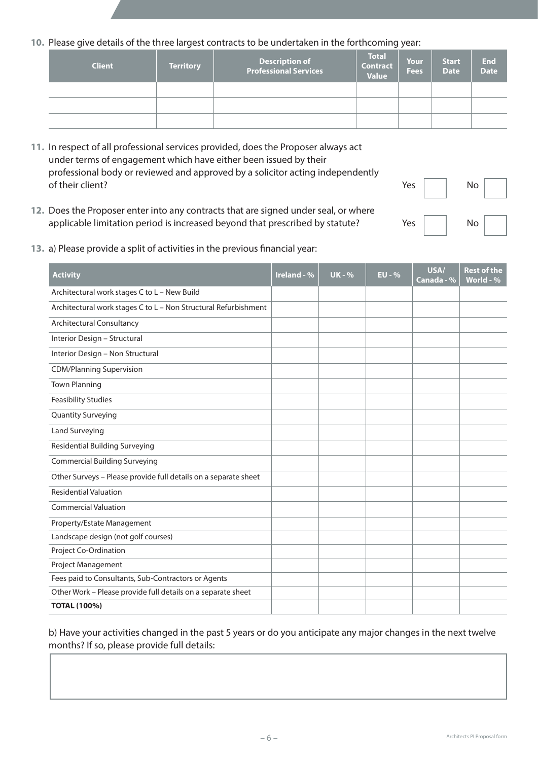### **10.** Please give details of the three largest contracts to be undertaken in the forthcoming year:

| <b>Client</b> | <b>Territory</b> | <b>Description of</b><br><b>Professional Services</b> | <b>Total</b><br><b>Contract</b><br><b>Value</b> | Your<br><b>Fees</b> | <b>Start</b><br><b>Date</b> | <b>End</b><br><b>Date</b> |
|---------------|------------------|-------------------------------------------------------|-------------------------------------------------|---------------------|-----------------------------|---------------------------|
|               |                  |                                                       |                                                 |                     |                             |                           |
|               |                  |                                                       |                                                 |                     |                             |                           |
|               |                  |                                                       |                                                 |                     |                             |                           |

- **11.** In respect of all professional services provided, does the Proposer always act under terms of engagement which have either been issued by their professional body or reviewed and approved by a solicitor acting independently of their client? No was a set of their client?
- **12.** Does the Proposer enter into any contracts that are signed under seal, or where applicable limitation period is increased beyond that prescribed by statute?  $\qquad \qquad$  Yes  $\qquad$  No
- **13.** a) Please provide a split of activities in the previous financial year:

| <b>Activity</b>                                                 | <b>Ireland - %</b> | <b>UK-%</b> | <b>EU - %</b> | USA/<br>Canada - % | Rest of the<br>World - % |
|-----------------------------------------------------------------|--------------------|-------------|---------------|--------------------|--------------------------|
| Architectural work stages C to L - New Build                    |                    |             |               |                    |                          |
| Architectural work stages C to L - Non Structural Refurbishment |                    |             |               |                    |                          |
| <b>Architectural Consultancy</b>                                |                    |             |               |                    |                          |
| Interior Design - Structural                                    |                    |             |               |                    |                          |
| Interior Design - Non Structural                                |                    |             |               |                    |                          |
| <b>CDM/Planning Supervision</b>                                 |                    |             |               |                    |                          |
| <b>Town Planning</b>                                            |                    |             |               |                    |                          |
| <b>Feasibility Studies</b>                                      |                    |             |               |                    |                          |
| <b>Quantity Surveying</b>                                       |                    |             |               |                    |                          |
| Land Surveying                                                  |                    |             |               |                    |                          |
| Residential Building Surveying                                  |                    |             |               |                    |                          |
| <b>Commercial Building Surveying</b>                            |                    |             |               |                    |                          |
| Other Surveys - Please provide full details on a separate sheet |                    |             |               |                    |                          |
| <b>Residential Valuation</b>                                    |                    |             |               |                    |                          |
| <b>Commercial Valuation</b>                                     |                    |             |               |                    |                          |
| Property/Estate Management                                      |                    |             |               |                    |                          |
| Landscape design (not golf courses)                             |                    |             |               |                    |                          |
| Project Co-Ordination                                           |                    |             |               |                    |                          |
| Project Management                                              |                    |             |               |                    |                          |
| Fees paid to Consultants, Sub-Contractors or Agents             |                    |             |               |                    |                          |
| Other Work - Please provide full details on a separate sheet    |                    |             |               |                    |                          |
| <b>TOTAL (100%)</b>                                             |                    |             |               |                    |                          |

### b) Have your activities changed in the past 5 years or do you anticipate any major changes in the next twelve months? If so, please provide full details: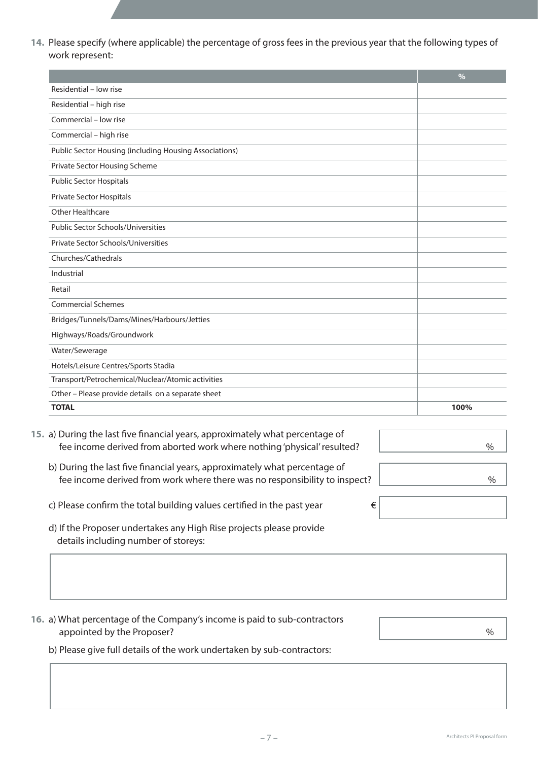**14.** Please specify (where applicable) the percentage of gross fees in the previous year that the following types of work represent:

|                                                        | $\frac{0}{0}$ |
|--------------------------------------------------------|---------------|
| Residential - low rise                                 |               |
| Residential - high rise                                |               |
| Commercial - low rise                                  |               |
| Commercial - high rise                                 |               |
| Public Sector Housing (including Housing Associations) |               |
| Private Sector Housing Scheme                          |               |
| <b>Public Sector Hospitals</b>                         |               |
| Private Sector Hospitals                               |               |
| Other Healthcare                                       |               |
| <b>Public Sector Schools/Universities</b>              |               |
| Private Sector Schools/Universities                    |               |
| Churches/Cathedrals                                    |               |
| Industrial                                             |               |
| Retail                                                 |               |
| <b>Commercial Schemes</b>                              |               |
| Bridges/Tunnels/Dams/Mines/Harbours/Jetties            |               |
| Highways/Roads/Groundwork                              |               |
| Water/Sewerage                                         |               |
| Hotels/Leisure Centres/Sports Stadia                   |               |
| Transport/Petrochemical/Nuclear/Atomic activities      |               |
| Other - Please provide details on a separate sheet     |               |
| <b>TOTAL</b>                                           | 100%          |

**15.** a) During the last five financial years, approximately what percentage of fee income derived from aborted work where nothing'physical'resulted? %

 b) During the last five financial years, approximately what percentage of fee income derived from work where there was no responsibility to inspect?  $\vert$ 

- c) Please confirm the total building values certified in the past year  $\epsilon$
- d) If the Proposer undertakes any High Rise projects please provide details including number of storeys:

| 16. a) What percentage of the Company's income is paid to sub-contractors |               |
|---------------------------------------------------------------------------|---------------|
| appointed by the Proposer?                                                | $\frac{0}{c}$ |

 b) Please give full details of the work undertaken by sub-contractors: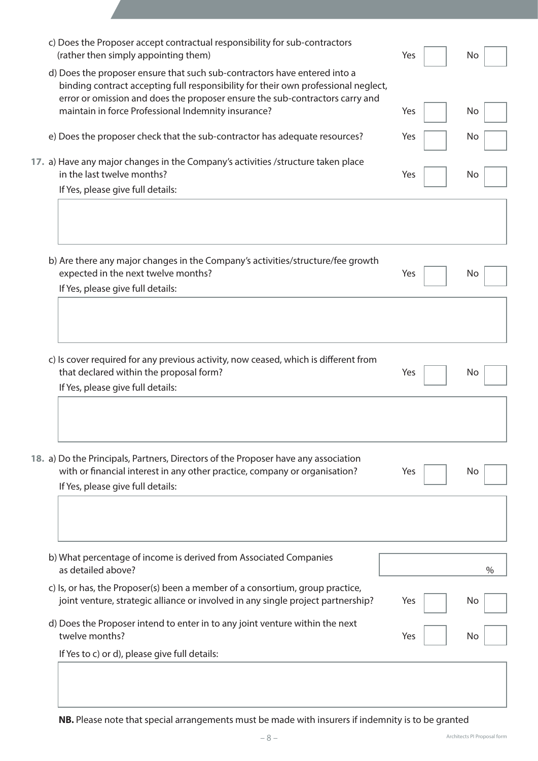| c) Does the Proposer accept contractual responsibility for sub-contractors<br>(rather then simply appointing them)                                                                                                                              | Yes | No   |
|-------------------------------------------------------------------------------------------------------------------------------------------------------------------------------------------------------------------------------------------------|-----|------|
| d) Does the proposer ensure that such sub-contractors have entered into a<br>binding contract accepting full responsibility for their own professional neglect,<br>error or omission and does the proposer ensure the sub-contractors carry and |     |      |
| maintain in force Professional Indemnity insurance?                                                                                                                                                                                             | Yes | No   |
| e) Does the proposer check that the sub-contractor has adequate resources?                                                                                                                                                                      | Yes | No   |
| 17. a) Have any major changes in the Company's activities /structure taken place<br>in the last twelve months?                                                                                                                                  | Yes | No   |
| If Yes, please give full details:                                                                                                                                                                                                               |     |      |
|                                                                                                                                                                                                                                                 |     |      |
| b) Are there any major changes in the Company's activities/structure/fee growth                                                                                                                                                                 |     |      |
| expected in the next twelve months?<br>If Yes, please give full details:                                                                                                                                                                        | Yes | No   |
| c) Is cover required for any previous activity, now ceased, which is different from<br>that declared within the proposal form?<br>If Yes, please give full details:                                                                             | Yes | No   |
| 18. a) Do the Principals, Partners, Directors of the Proposer have any association<br>with or financial interest in any other practice, company or organisation?<br>If Yes, please give full details:                                           | Yes | No.  |
| b) What percentage of income is derived from Associated Companies<br>as detailed above?                                                                                                                                                         |     | $\%$ |
| c) Is, or has, the Proposer(s) been a member of a consortium, group practice,<br>joint venture, strategic alliance or involved in any single project partnership?                                                                               | Yes | No   |
| d) Does the Proposer intend to enter in to any joint venture within the next<br>twelve months?                                                                                                                                                  | Yes | No   |
| If Yes to c) or d), please give full details:                                                                                                                                                                                                   |     |      |
|                                                                                                                                                                                                                                                 |     |      |

 **NB.** Please note that special arrangements must be made with insurers if indemnity is to be granted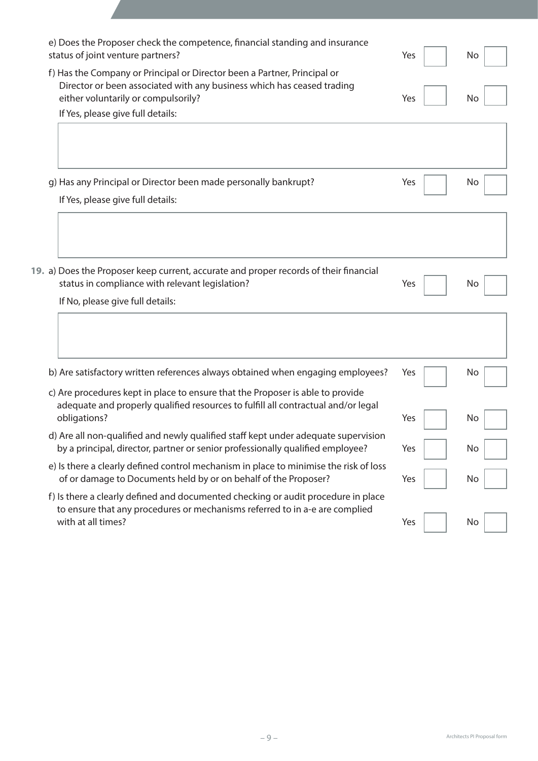| e) Does the Proposer check the competence, financial standing and insurance<br>status of joint venture partners?                                                                                                               | Yes | No |
|--------------------------------------------------------------------------------------------------------------------------------------------------------------------------------------------------------------------------------|-----|----|
| f) Has the Company or Principal or Director been a Partner, Principal or<br>Director or been associated with any business which has ceased trading<br>either voluntarily or compulsorily?<br>If Yes, please give full details: | Yes | No |
|                                                                                                                                                                                                                                |     |    |
| g) Has any Principal or Director been made personally bankrupt?                                                                                                                                                                | Yes | No |
| If Yes, please give full details:                                                                                                                                                                                              |     |    |
| 19. a) Does the Proposer keep current, accurate and proper records of their financial<br>status in compliance with relevant legislation?                                                                                       | Yes | No |
| If No, please give full details:                                                                                                                                                                                               |     |    |
| b) Are satisfactory written references always obtained when engaging employees?                                                                                                                                                | Yes | No |
| c) Are procedures kept in place to ensure that the Proposer is able to provide<br>adequate and properly qualified resources to fulfill all contractual and/or legal<br>obligations?                                            | Yes | No |
| d) Are all non-qualified and newly qualified staff kept under adequate supervision<br>by a principal, director, partner or senior professionally qualified employee?                                                           | Yes | No |
| e) Is there a clearly defined control mechanism in place to minimise the risk of loss<br>of or damage to Documents held by or on behalf of the Proposer?                                                                       | Yes | No |
| f) Is there a clearly defined and documented checking or audit procedure in place<br>to ensure that any procedures or mechanisms referred to in a-e are complied<br>with at all times?                                         | Yes | No |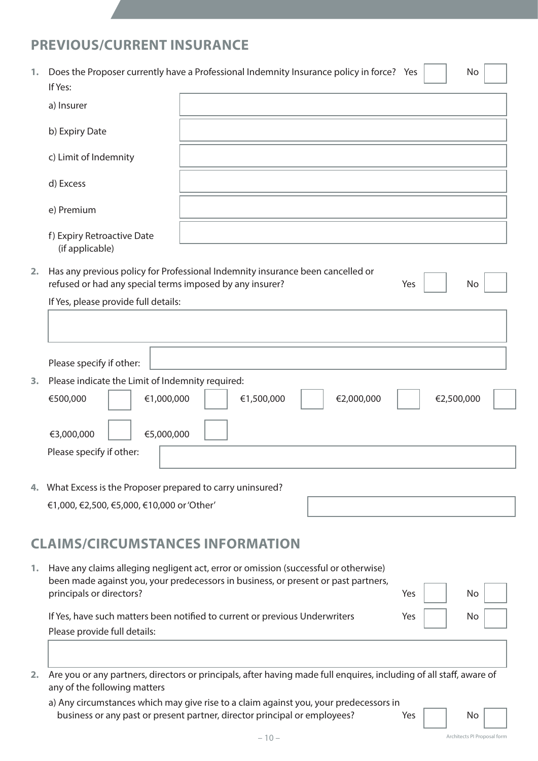# **PREVIOUS/CURRENT INSURANCE**

| 1. | Does the Proposer currently have a Professional Indemnity Insurance policy in force? Yes<br>No<br>If Yes:                                                                                                          |
|----|--------------------------------------------------------------------------------------------------------------------------------------------------------------------------------------------------------------------|
|    | a) Insurer                                                                                                                                                                                                         |
|    | b) Expiry Date                                                                                                                                                                                                     |
|    | c) Limit of Indemnity                                                                                                                                                                                              |
|    | d) Excess                                                                                                                                                                                                          |
|    | e) Premium                                                                                                                                                                                                         |
|    | f) Expiry Retroactive Date<br>(if applicable)                                                                                                                                                                      |
| 2. | Has any previous policy for Professional Indemnity insurance been cancelled or<br>refused or had any special terms imposed by any insurer?<br>Yes<br>No                                                            |
|    | If Yes, please provide full details:                                                                                                                                                                               |
|    |                                                                                                                                                                                                                    |
|    | Please specify if other:                                                                                                                                                                                           |
| 3. | Please indicate the Limit of Indemnity required:                                                                                                                                                                   |
|    | €1,000,000<br>€1,500,000<br>€2,000,000<br>€2,500,000<br>€500,000                                                                                                                                                   |
|    | €5,000,000<br>€3,000,000                                                                                                                                                                                           |
|    | Please specify if other:                                                                                                                                                                                           |
|    | 4. What Excess is the Proposer prepared to carry uninsured?                                                                                                                                                        |
|    | €1,000, €2,500, €5,000, €10,000 or 'Other'                                                                                                                                                                         |
|    |                                                                                                                                                                                                                    |
|    | <b>CLAIMS/CIRCUMSTANCES INFORMATION</b>                                                                                                                                                                            |
| 1. | Have any claims alleging negligent act, error or omission (successful or otherwise)<br>been made against you, your predecessors in business, or present or past partners,<br>principals or directors?<br>Yes<br>No |
|    | If Yes, have such matters been notified to current or previous Underwriters<br>Yes<br>No<br>Please provide full details:                                                                                           |
| 2. | Are you or any partners, directors or principals, after having made full enquires, including of all staff, aware of<br>any of the following matters                                                                |

 a) Any circumstances which may give rise to a claim against you, your predecessors in business or any past or present partner, director principal or employees?  $Y$ es  $\Box$  No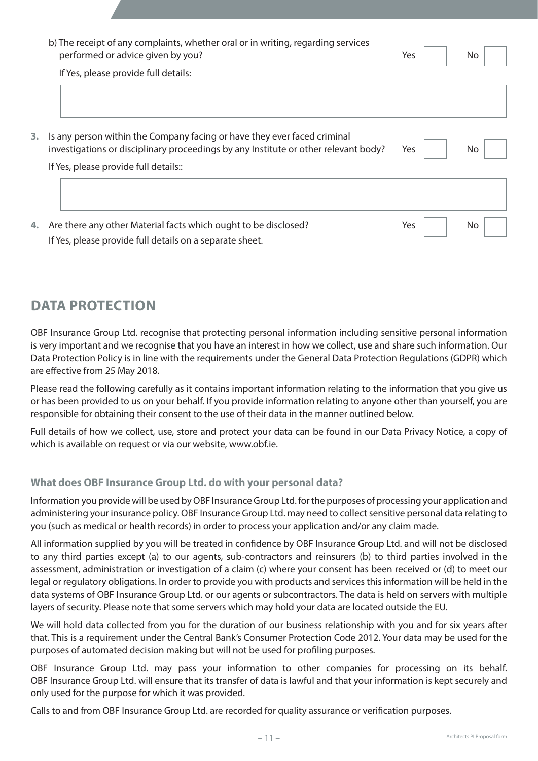|    | b) The receipt of any complaints, whether oral or in writing, regarding services<br>performed or advice given by you?                                           | Yes | No. |
|----|-----------------------------------------------------------------------------------------------------------------------------------------------------------------|-----|-----|
|    | If Yes, please provide full details:                                                                                                                            |     |     |
|    |                                                                                                                                                                 |     |     |
| 3. | Is any person within the Company facing or have they ever faced criminal<br>investigations or disciplinary proceedings by any Institute or other relevant body? | Yes | No. |
|    | If Yes, please provide full details::                                                                                                                           |     |     |
|    |                                                                                                                                                                 |     |     |
| 4. | Are there any other Material facts which ought to be disclosed?                                                                                                 | Yes | No. |

# **DATA PROTECTION**

OBF Insurance Group Ltd. recognise that protecting personal information including sensitive personal information is very important and we recognise that you have an interest in how we collect, use and share such information. Our Data Protection Policy is in line with the requirements under the General Data Protection Regulations (GDPR) which are effective from 25 May 2018.

Please read the following carefully as it contains important information relating to the information that you give us or has been provided to us on your behalf. If you provide information relating to anyone other than yourself, you are responsible for obtaining their consent to the use of their data in the manner outlined below.

Full details of how we collect, use, store and protect your data can be found in our Data Privacy Notice, a copy of which is available on request or via our website, www.obf.ie.

### **What does OBF Insurance Group Ltd. do with your personal data?**

Information you provide will be used by OBF Insurance Group Ltd. for the purposes of processing your application and administering your insurance policy. OBF Insurance Group Ltd. may need to collect sensitive personal data relating to you (such as medical or health records) in order to process your application and/or any claim made.

All information supplied by you will be treated in confidence by OBF Insurance Group Ltd. and will not be disclosed to any third parties except (a) to our agents, sub-contractors and reinsurers (b) to third parties involved in the assessment, administration or investigation of a claim (c) where your consent has been received or (d) to meet our legal or regulatory obligations. In order to provide you with products and services this information will be held in the data systems of OBF Insurance Group Ltd. or our agents or subcontractors. The data is held on servers with multiple layers of security. Please note that some servers which may hold your data are located outside the EU.

We will hold data collected from you for the duration of our business relationship with you and for six years after that. This is a requirement under the Central Bank's Consumer Protection Code 2012. Your data may be used for the purposes of automated decision making but will not be used for profiling purposes.

OBF Insurance Group Ltd. may pass your information to other companies for processing on its behalf. OBF Insurance Group Ltd. will ensure that its transfer of data is lawful and that your information is kept securely and only used for the purpose for which it was provided.

Calls to and from OBF Insurance Group Ltd. are recorded for quality assurance or verification purposes.